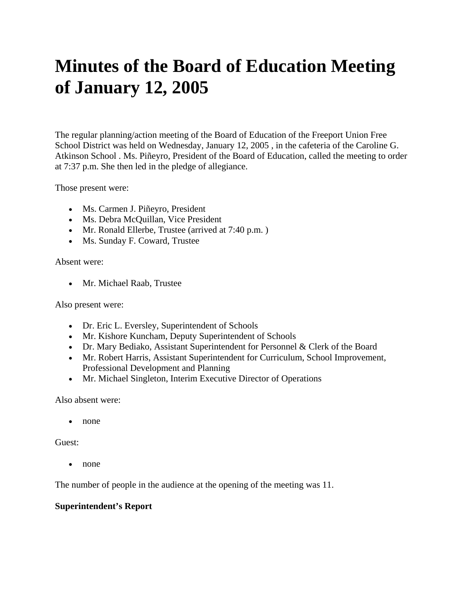# **Minutes of the Board of Education Meeting of January 12, 2005**

The regular planning/action meeting of the Board of Education of the Freeport Union Free School District was held on Wednesday, January 12, 2005 , in the cafeteria of the Caroline G. Atkinson School . Ms. Piñeyro, President of the Board of Education, called the meeting to order at 7:37 p.m. She then led in the pledge of allegiance.

Those present were:

- Ms. Carmen J. Piñeyro, President
- Ms. Debra McQuillan, Vice President
- Mr. Ronald Ellerbe, Trustee (arrived at 7:40 p.m.)
- Ms. Sunday F. Coward, Trustee

Absent were:

• Mr. Michael Raab, Trustee

Also present were:

- Dr. Eric L. Eversley, Superintendent of Schools
- Mr. Kishore Kuncham, Deputy Superintendent of Schools
- Dr. Mary Bediako, Assistant Superintendent for Personnel & Clerk of the Board
- Mr. Robert Harris, Assistant Superintendent for Curriculum, School Improvement, Professional Development and Planning
- Mr. Michael Singleton, Interim Executive Director of Operations

Also absent were:

• none

Guest:

• none

The number of people in the audience at the opening of the meeting was 11.

## **Superintendent's Report**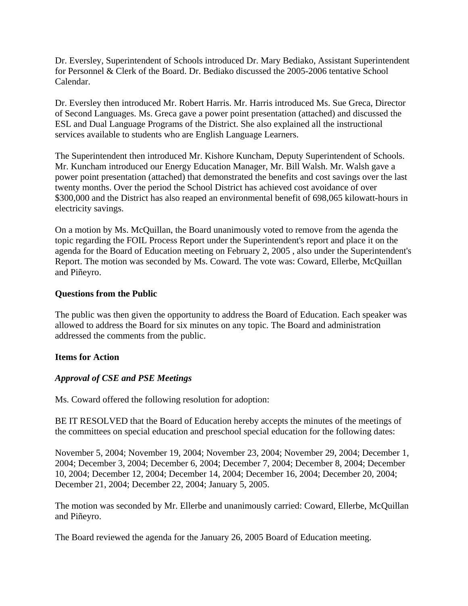Dr. Eversley, Superintendent of Schools introduced Dr. Mary Bediako, Assistant Superintendent for Personnel & Clerk of the Board. Dr. Bediako discussed the 2005-2006 tentative School Calendar.

Dr. Eversley then introduced Mr. Robert Harris. Mr. Harris introduced Ms. Sue Greca, Director of Second Languages. Ms. Greca gave a power point presentation (attached) and discussed the ESL and Dual Language Programs of the District. She also explained all the instructional services available to students who are English Language Learners.

The Superintendent then introduced Mr. Kishore Kuncham, Deputy Superintendent of Schools. Mr. Kuncham introduced our Energy Education Manager, Mr. Bill Walsh. Mr. Walsh gave a power point presentation (attached) that demonstrated the benefits and cost savings over the last twenty months. Over the period the School District has achieved cost avoidance of over \$300,000 and the District has also reaped an environmental benefit of 698,065 kilowatt-hours in electricity savings.

On a motion by Ms. McQuillan, the Board unanimously voted to remove from the agenda the topic regarding the FOIL Process Report under the Superintendent's report and place it on the agenda for the Board of Education meeting on February 2, 2005 , also under the Superintendent's Report. The motion was seconded by Ms. Coward. The vote was: Coward, Ellerbe, McQuillan and Piñeyro.

## **Questions from the Public**

The public was then given the opportunity to address the Board of Education. Each speaker was allowed to address the Board for six minutes on any topic. The Board and administration addressed the comments from the public.

## **Items for Action**

# *Approval of CSE and PSE Meetings*

Ms. Coward offered the following resolution for adoption:

BE IT RESOLVED that the Board of Education hereby accepts the minutes of the meetings of the committees on special education and preschool special education for the following dates:

November 5, 2004; November 19, 2004; November 23, 2004; November 29, 2004; December 1, 2004; December 3, 2004; December 6, 2004; December 7, 2004; December 8, 2004; December 10, 2004; December 12, 2004; December 14, 2004; December 16, 2004; December 20, 2004; December 21, 2004; December 22, 2004; January 5, 2005.

The motion was seconded by Mr. Ellerbe and unanimously carried: Coward, Ellerbe, McQuillan and Piñeyro.

The Board reviewed the agenda for the January 26, 2005 Board of Education meeting.